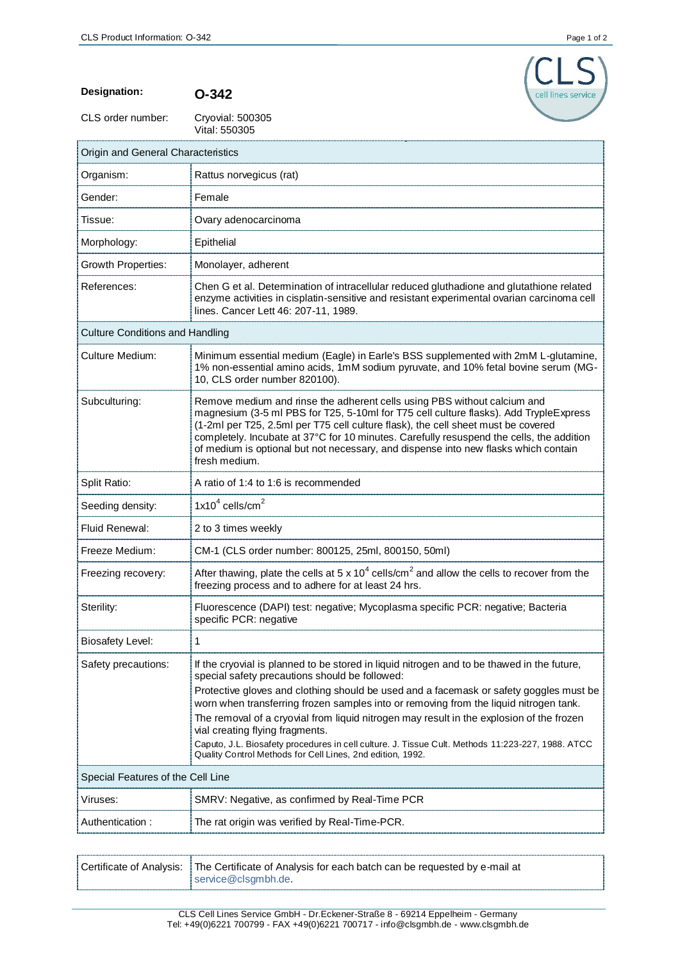

**Designation: O-342**

CLS order number:

Cryovial: 500305<br>Vital: 550305

| Origin and General Characteristics     |                                                                                                                                                                                                                                                                                                                                                                                                                                                                                                                                                                                                                                   |  |
|----------------------------------------|-----------------------------------------------------------------------------------------------------------------------------------------------------------------------------------------------------------------------------------------------------------------------------------------------------------------------------------------------------------------------------------------------------------------------------------------------------------------------------------------------------------------------------------------------------------------------------------------------------------------------------------|--|
| Organism:                              | Rattus norvegicus (rat)                                                                                                                                                                                                                                                                                                                                                                                                                                                                                                                                                                                                           |  |
| Gender:                                | Female                                                                                                                                                                                                                                                                                                                                                                                                                                                                                                                                                                                                                            |  |
| Tissue:                                | Ovary adenocarcinoma                                                                                                                                                                                                                                                                                                                                                                                                                                                                                                                                                                                                              |  |
| Morphology:                            | Epithelial                                                                                                                                                                                                                                                                                                                                                                                                                                                                                                                                                                                                                        |  |
| Growth Properties:                     | Monolayer, adherent                                                                                                                                                                                                                                                                                                                                                                                                                                                                                                                                                                                                               |  |
| References:                            | Chen G et al. Determination of intracellular reduced gluthadione and glutathione related<br>enzyme activities in cisplatin-sensitive and resistant experimental ovarian carcinoma cell<br>lines. Cancer Lett 46: 207-11, 1989.                                                                                                                                                                                                                                                                                                                                                                                                    |  |
| <b>Culture Conditions and Handling</b> |                                                                                                                                                                                                                                                                                                                                                                                                                                                                                                                                                                                                                                   |  |
| Culture Medium:                        | Minimum essential medium (Eagle) in Earle's BSS supplemented with 2mM L-glutamine,<br>1% non-essential amino acids, 1mM sodium pyruvate, and 10% fetal bovine serum (MG-<br>10, CLS order number 820100).                                                                                                                                                                                                                                                                                                                                                                                                                         |  |
| Subculturing:                          | Remove medium and rinse the adherent cells using PBS without calcium and<br>magnesium (3-5 ml PBS for T25, 5-10ml for T75 cell culture flasks). Add TrypleExpress<br>(1-2ml per T25, 2.5ml per T75 cell culture flask), the cell sheet must be covered<br>completely. Incubate at 37°C for 10 minutes. Carefully resuspend the cells, the addition<br>of medium is optional but not necessary, and dispense into new flasks which contain<br>fresh medium.                                                                                                                                                                        |  |
| Split Ratio:                           | A ratio of 1:4 to 1:6 is recommended                                                                                                                                                                                                                                                                                                                                                                                                                                                                                                                                                                                              |  |
| Seeding density:                       | $1x104$ cells/cm <sup>2</sup>                                                                                                                                                                                                                                                                                                                                                                                                                                                                                                                                                                                                     |  |
| Fluid Renewal:                         | 2 to 3 times weekly                                                                                                                                                                                                                                                                                                                                                                                                                                                                                                                                                                                                               |  |
| Freeze Medium:                         | CM-1 (CLS order number: 800125, 25ml, 800150, 50ml)                                                                                                                                                                                                                                                                                                                                                                                                                                                                                                                                                                               |  |
| Freezing recovery:                     | After thawing, plate the cells at 5 x 10 <sup>4</sup> cells/cm <sup>2</sup> and allow the cells to recover from the<br>freezing process and to adhere for at least 24 hrs.                                                                                                                                                                                                                                                                                                                                                                                                                                                        |  |
| Sterility:                             | Fluorescence (DAPI) test: negative; Mycoplasma specific PCR: negative; Bacteria<br>specific PCR: negative                                                                                                                                                                                                                                                                                                                                                                                                                                                                                                                         |  |
| <b>Biosafety Level:</b>                | 1                                                                                                                                                                                                                                                                                                                                                                                                                                                                                                                                                                                                                                 |  |
| Safety precautions:                    | If the cryovial is planned to be stored in liquid nitrogen and to be thawed in the future,<br>special safety precautions should be followed:<br>Protective gloves and clothing should be used and a facemask or safety goggles must be<br>worn when transferring frozen samples into or removing from the liquid nitrogen tank.<br>The removal of a cryovial from liquid nitrogen may result in the explosion of the frozen<br>vial creating flying fragments.<br>Caputo, J.L. Biosafety procedures in cell culture. J. Tissue Cult. Methods 11:223-227, 1988. ATCC<br>Quality Control Methods for Cell Lines, 2nd edition, 1992. |  |
| Special Features of the Cell Line      |                                                                                                                                                                                                                                                                                                                                                                                                                                                                                                                                                                                                                                   |  |
| Viruses:                               | SMRV: Negative, as confirmed by Real-Time PCR                                                                                                                                                                                                                                                                                                                                                                                                                                                                                                                                                                                     |  |
| Authentication:                        | The rat origin was verified by Real-Time-PCR.                                                                                                                                                                                                                                                                                                                                                                                                                                                                                                                                                                                     |  |

| Certificate of Analysis:   The Certificate of Analysis for each batch can be requested by e-mail at |
|-----------------------------------------------------------------------------------------------------|
| service@clsgmbh.de.                                                                                 |